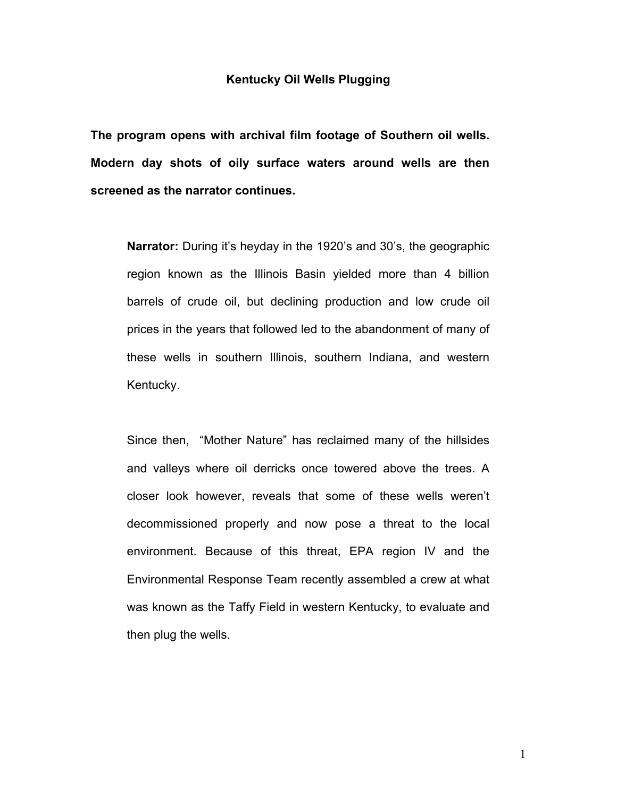## **Kentucky Oil Wells Plugging**

**The program opens with archival film footage of Southern oil wells. Modern day shots of oily surface waters around wells are then screened as the narrator continues.** 

**Narrator:** During it's heyday in the 1920's and 30's, the geographic region known as the Illinois Basin yielded more than 4 billion barrels of crude oil, but declining production and low crude oil prices in the years that followed led to the abandonment of many of these wells in southern Illinois, southern Indiana, and western Kentucky.

Since then, "Mother Nature" has reclaimed many of the hillsides and valleys where oil derricks once towered above the trees. A closer look however, reveals that some of these wells werenít decommissioned properly and now pose a threat to the local environment. Because of this threat, EPA region IV and the Environmental Response Team recently assembled a crew at what was known as the Taffy Field in western Kentucky, to evaluate and then plug the wells.

1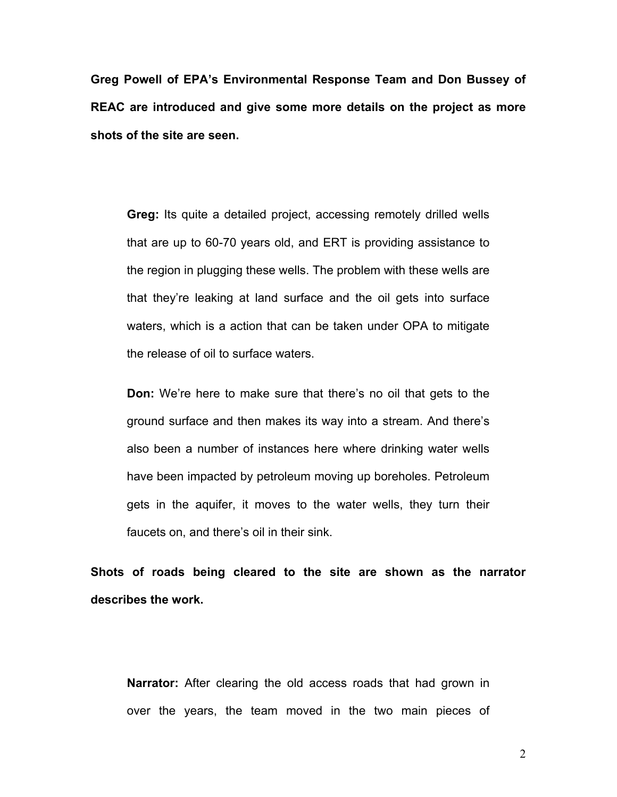**Greg Powell of EPAís Environmental Response Team and Don Bussey of REAC are introduced and give some more details on the project as more shots of the site are seen.** 

**Greg:** Its quite a detailed project, accessing remotely drilled wells that are up to 60-70 years old, and ERT is providing assistance to the region in plugging these wells. The problem with these wells are that theyíre leaking at land surface and the oil gets into surface waters, which is a action that can be taken under OPA to mitigate the release of oil to surface waters.

**Don:** We're here to make sure that there's no oil that gets to the ground surface and then makes its way into a stream. And there's also been a number of instances here where drinking water wells have been impacted by petroleum moving up boreholes. Petroleum gets in the aquifer, it moves to the water wells, they turn their faucets on, and there's oil in their sink.

**Shots of roads being cleared to the site are shown as the narrator describes the work.** 

**Narrator:** After clearing the old access roads that had grown in over the years, the team moved in the two main pieces of

2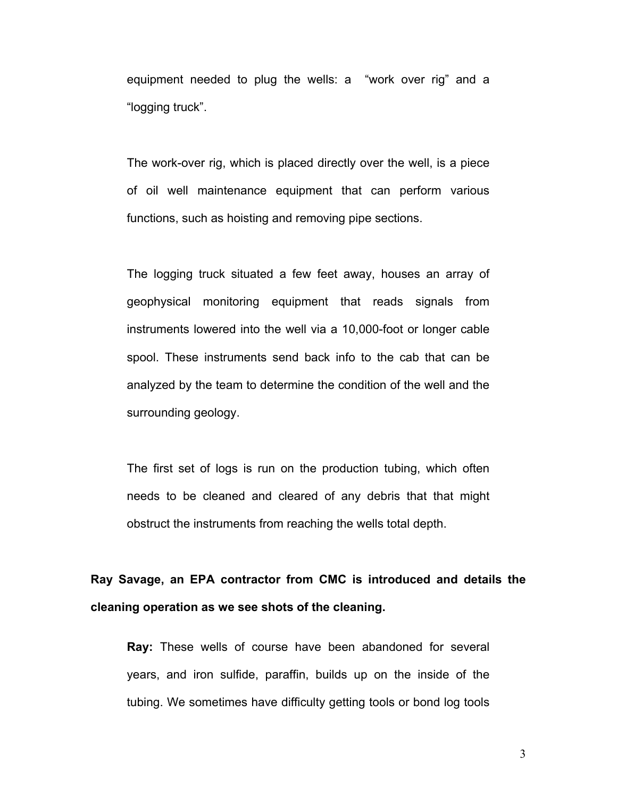equipment needed to plug the wells: a "work over rig" and a "logging truck".

The work-over rig, which is placed directly over the well, is a piece of oil well maintenance equipment that can perform various functions, such as hoisting and removing pipe sections.

The logging truck situated a few feet away, houses an array of geophysical monitoring equipment that reads signals from instruments lowered into the well via a 10,000-foot or longer cable spool. These instruments send back info to the cab that can be analyzed by the team to determine the condition of the well and the surrounding geology.

The first set of logs is run on the production tubing, which often needs to be cleaned and cleared of any debris that that might obstruct the instruments from reaching the wells total depth.

**Ray Savage, an EPA contractor from CMC is introduced and details the cleaning operation as we see shots of the cleaning.** 

**Ray:** These wells of course have been abandoned for several years, and iron sulfide, paraffin, builds up on the inside of the tubing. We sometimes have difficulty getting tools or bond log tools

3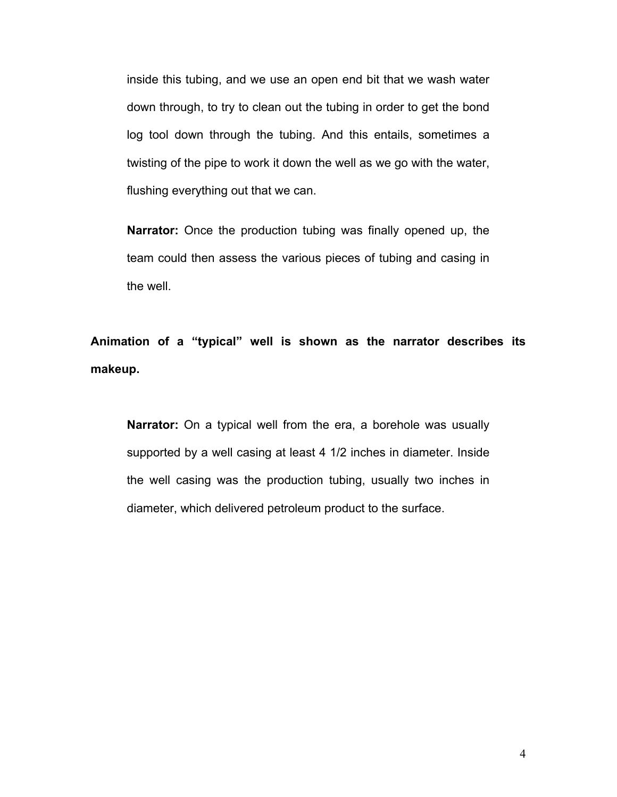inside this tubing, and we use an open end bit that we wash water down through, to try to clean out the tubing in order to get the bond log tool down through the tubing. And this entails, sometimes a twisting of the pipe to work it down the well as we go with the water, flushing everything out that we can.

**Narrator:** Once the production tubing was finally opened up, the team could then assess the various pieces of tubing and casing in the well.

Animation of a "typical" well is shown as the narrator describes its **makeup.** 

**Narrator:** On a typical well from the era, a borehole was usually supported by a well casing at least 4 1/2 inches in diameter. Inside the well casing was the production tubing, usually two inches in diameter, which delivered petroleum product to the surface.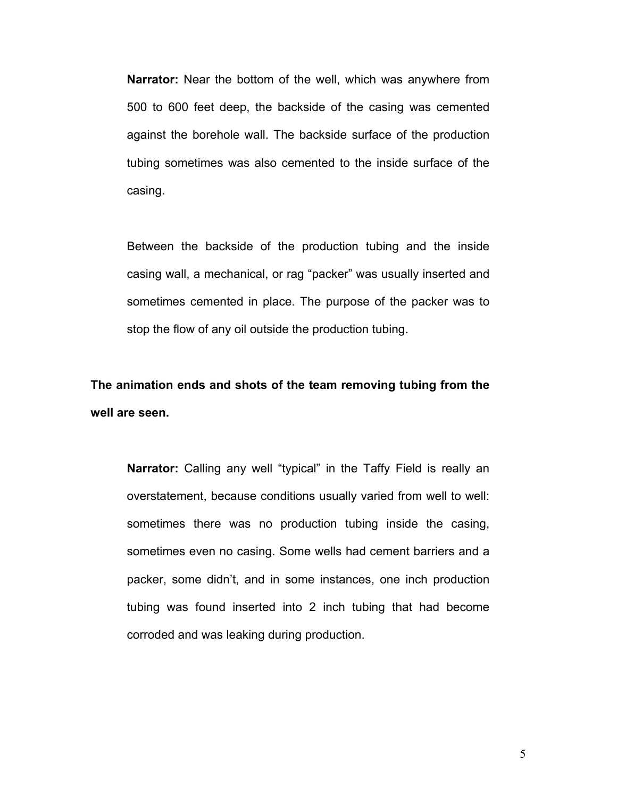**Narrator:** Near the bottom of the well, which was anywhere from 500 to 600 feet deep, the backside of the casing was cemented against the borehole wall. The backside surface of the production tubing sometimes was also cemented to the inside surface of the casing.

Between the backside of the production tubing and the inside casing wall, a mechanical, or rag "packer" was usually inserted and sometimes cemented in place. The purpose of the packer was to stop the flow of any oil outside the production tubing.

**The animation ends and shots of the team removing tubing from the well are seen.**

**Narrator:** Calling any well "typical" in the Taffy Field is really an overstatement, because conditions usually varied from well to well: sometimes there was no production tubing inside the casing, sometimes even no casing. Some wells had cement barriers and a packer, some didnít, and in some instances, one inch production tubing was found inserted into 2 inch tubing that had become corroded and was leaking during production.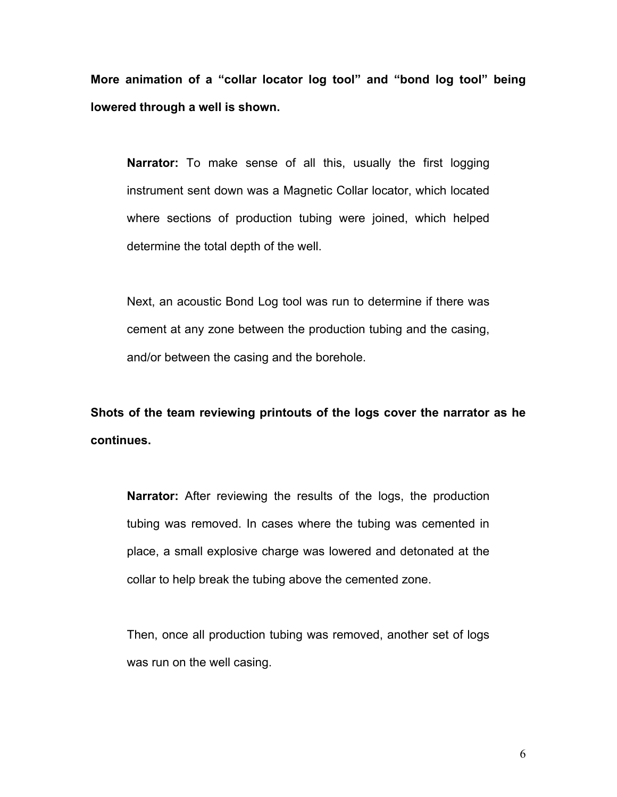More animation of a "collar locator log tool" and "bond log tool" being **lowered through a well is shown.** 

**Narrator:** To make sense of all this, usually the first logging instrument sent down was a Magnetic Collar locator, which located where sections of production tubing were joined, which helped determine the total depth of the well.

Next, an acoustic Bond Log tool was run to determine if there was cement at any zone between the production tubing and the casing, and/or between the casing and the borehole.

**Shots of the team reviewing printouts of the logs cover the narrator as he continues.** 

**Narrator:** After reviewing the results of the logs, the production tubing was removed. In cases where the tubing was cemented in place, a small explosive charge was lowered and detonated at the collar to help break the tubing above the cemented zone.

Then, once all production tubing was removed, another set of logs was run on the well casing.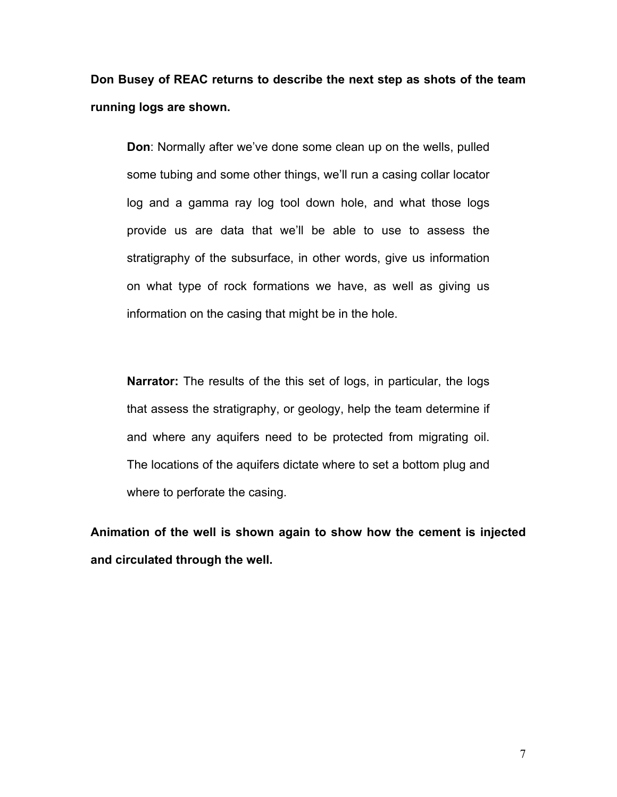**Don Busey of REAC returns to describe the next step as shots of the team running logs are shown.** 

**Don**: Normally after we've done some clean up on the wells, pulled some tubing and some other things, we'll run a casing collar locator log and a gamma ray log tool down hole, and what those logs provide us are data that we'll be able to use to assess the stratigraphy of the subsurface, in other words, give us information on what type of rock formations we have, as well as giving us information on the casing that might be in the hole.

**Narrator:** The results of the this set of logs, in particular, the logs that assess the stratigraphy, or geology, help the team determine if and where any aquifers need to be protected from migrating oil. The locations of the aquifers dictate where to set a bottom plug and where to perforate the casing.

**Animation of the well is shown again to show how the cement is injected and circulated through the well.**